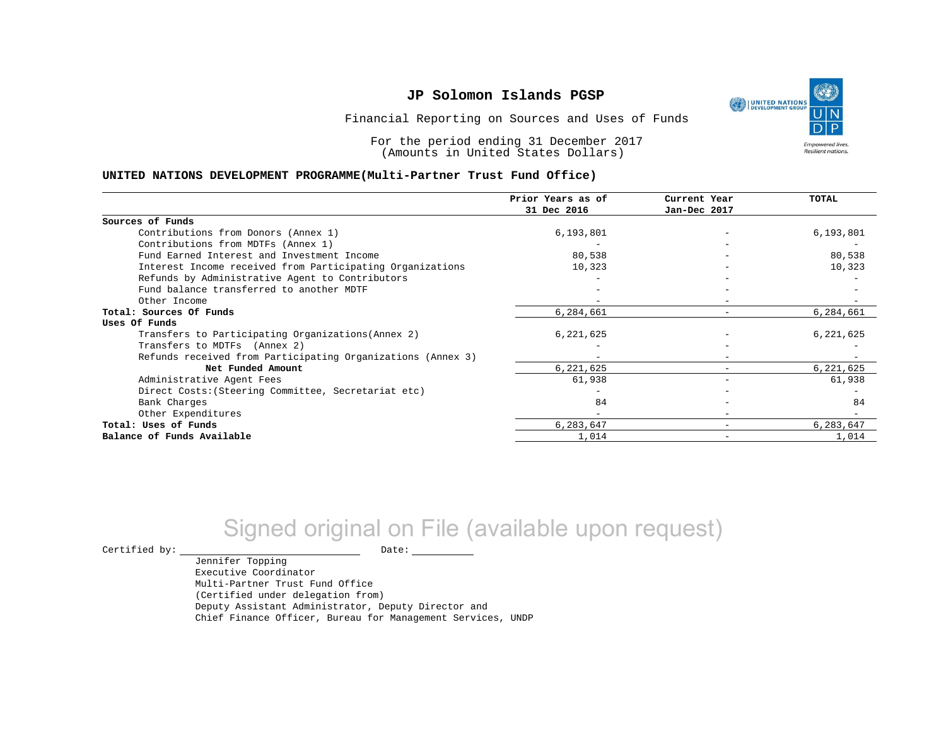١ UNITED NATIONS **Empowered lives** 

Resilient nations.

Financial Reporting on Sources and Uses of Funds

For the period ending 31 December 2017 (Amounts in United States Dollars)

#### **UNITED NATIONS DEVELOPMENT PROGRAMME(Multi-Partner Trust Fund Office)**

|                                                             | Prior Years as of<br>31 Dec 2016 | Current Year<br>Jan-Dec 2017 | <b>TOTAL</b> |
|-------------------------------------------------------------|----------------------------------|------------------------------|--------------|
|                                                             |                                  |                              |              |
| Sources of Funds                                            |                                  |                              |              |
| Contributions from Donors (Annex 1)                         | 6,193,801                        |                              | 6,193,801    |
| Contributions from MDTFs (Annex 1)                          |                                  |                              |              |
| Fund Earned Interest and Investment Income                  | 80,538                           |                              | 80,538       |
| Interest Income received from Participating Organizations   | 10,323                           |                              | 10,323       |
| Refunds by Administrative Agent to Contributors             |                                  |                              |              |
| Fund balance transferred to another MDTF                    |                                  |                              |              |
| Other Income                                                |                                  |                              |              |
| Total: Sources Of Funds                                     | 6,284,661                        | $\overline{\phantom{0}}$     | 6,284,661    |
| Uses Of Funds                                               |                                  |                              |              |
| Transfers to Participating Organizations (Annex 2)          | 6,221,625                        |                              | 6,221,625    |
| Transfers to MDTFs (Annex 2)                                |                                  |                              |              |
| Refunds received from Participating Organizations (Annex 3) |                                  | $-$                          |              |
| Net Funded Amount                                           | 6,221,625                        | $-$                          | 6,221,625    |
| Administrative Agent Fees                                   | 61,938                           | $\overline{\phantom{0}}$     | 61,938       |
| Direct Costs: (Steering Committee, Secretariat etc)         |                                  |                              |              |
| Bank Charges                                                | 84                               |                              | 84           |
| Other Expenditures                                          |                                  |                              |              |
| Total: Uses of Funds                                        | 6,283,647                        |                              | 6,283,647    |
| Balance of Funds Available                                  | 1,014                            |                              | 1,014        |

# Signed original on File (available upon request)

 $\begin{picture}(180,180)(0,0) \put(0,0){\vector(1,0){180}} \put(15,0){\vector(1,0){180}} \put(15,0){\vector(1,0){180}} \put(15,0){\vector(1,0){180}} \put(15,0){\vector(1,0){180}} \put(15,0){\vector(1,0){180}} \put(15,0){\vector(1,0){180}} \put(15,0){\vector(1,0){180}} \put(15,0){\vector(1,0){180}} \put(15,0){\vector(1,0){180}} \put(15,0){\vector(1,0$ 

Jennifer Topping Executive Coordinator Multi-Partner Trust Fund Office (Certified under delegation from) Deputy Assistant Administrator, Deputy Director and Chief Finance Officer, Bureau for Management Services, UNDP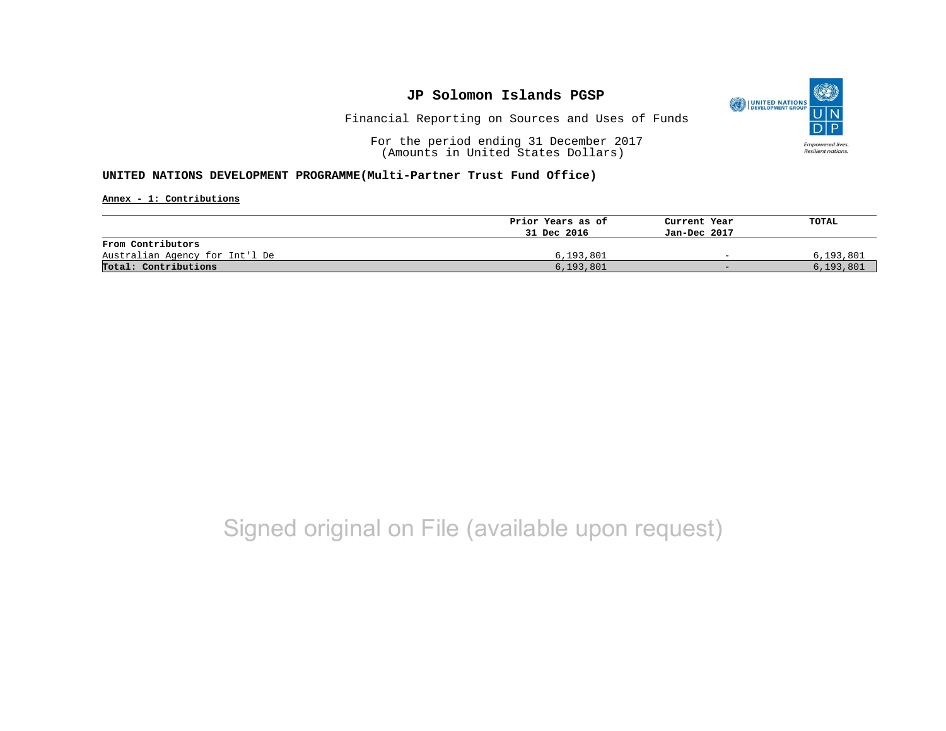

Financial Reporting on Sources and Uses of Funds

For the period ending 31 December 2017 (Amounts in United States Dollars)

#### **UNITED NATIONS DEVELOPMENT PROGRAMME(Multi-Partner Trust Fund Office)**

**Annex - 1: Contributions**

|                                | Prior Years as of | Current Year             | TOTAL       |
|--------------------------------|-------------------|--------------------------|-------------|
|                                | 31 Dec 2016       | Jan-Dec 2017             |             |
| From Contributors              |                   |                          |             |
| Australian Agency for Int'l De | 6,193,801         | $\overline{\phantom{0}}$ | 6,193,801   |
| Total: Contributions           | 6, 193, 801       | $-$                      | 6, 193, 801 |

## Signed original on File (available upon request)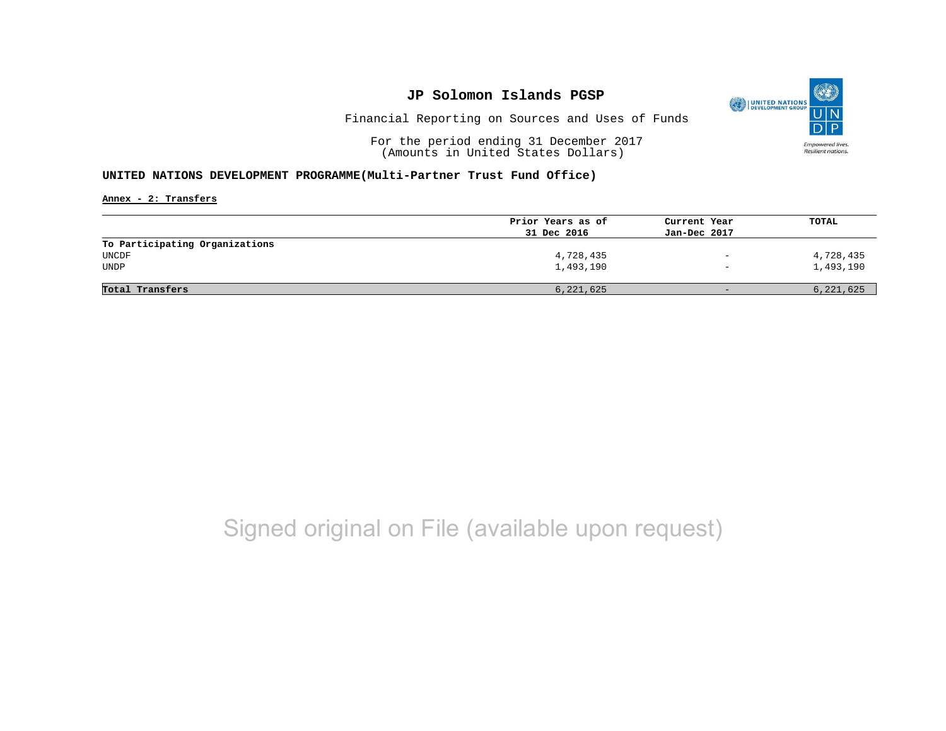

Financial Reporting on Sources and Uses of Funds

For the period ending 31 December 2017 (Amounts in United States Dollars)

#### **UNITED NATIONS DEVELOPMENT PROGRAMME(Multi-Partner Trust Fund Office)**

**Annex - 2: Transfers**

| Prior Years as of | Current Year             | TOTAL     |
|-------------------|--------------------------|-----------|
| 31 Dec 2016       | Jan-Dec 2017             |           |
|                   |                          |           |
| 4,728,435         | $\overline{\phantom{a}}$ | 4,728,435 |
| 1,493,190         | $\overline{\phantom{a}}$ | 1,493,190 |
|                   |                          |           |
| 6,221,625         | $\qquad \qquad -$        | 6,221,625 |
|                   |                          |           |

## Signed original on File (available upon request)